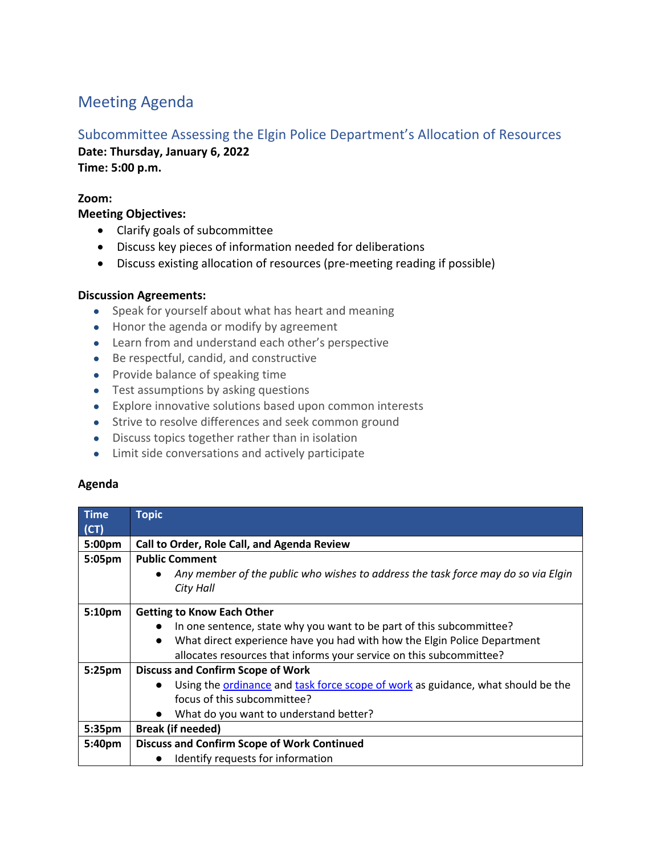# Meeting Agenda

## Subcommittee Assessing the Elgin Police Department's Allocation of Resources

**Date: Thursday, January 6, 2022 Time: 5:00 p.m.**

### **Zoom:**

**Meeting Objectives:**

- Clarify goals of subcommittee
- Discuss key pieces of information needed for deliberations
- Discuss existing allocation of resources (pre-meeting reading if possible)

### **Discussion Agreements:**

- Speak for yourself about what has heart and meaning
- Honor the agenda or modify by agreement
- Learn from and understand each other's perspective
- Be respectful, candid, and constructive
- Provide balance of speaking time
- Test assumptions by asking questions
- Explore innovative solutions based upon common interests
- Strive to resolve differences and seek common ground
- Discuss topics together rather than in isolation
- Limit side conversations and actively participate

#### **Agenda**

| Time               | <b>Topic</b>                                                                                   |
|--------------------|------------------------------------------------------------------------------------------------|
| (CT)               |                                                                                                |
| 5:00 <sub>pm</sub> | Call to Order, Role Call, and Agenda Review                                                    |
| 5:05pm             | <b>Public Comment</b>                                                                          |
|                    | Any member of the public who wishes to address the task force may do so via Elgin<br>$\bullet$ |
|                    | City Hall                                                                                      |
| 5:10pm             | <b>Getting to Know Each Other</b>                                                              |
|                    |                                                                                                |
|                    | In one sentence, state why you want to be part of this subcommittee?                           |
|                    | What direct experience have you had with how the Elgin Police Department                       |
|                    | allocates resources that informs your service on this subcommittee?                            |
| 5:25pm             | <b>Discuss and Confirm Scope of Work</b>                                                       |
|                    | Using the ordinance and task force scope of work as guidance, what should be the<br>$\bullet$  |
|                    | focus of this subcommittee?                                                                    |
|                    | What do you want to understand better?<br>$\bullet$                                            |
| 5:35 <sub>pm</sub> | <b>Break (if needed)</b>                                                                       |
| 5:40pm             | <b>Discuss and Confirm Scope of Work Continued</b>                                             |
|                    | Identify requests for information                                                              |